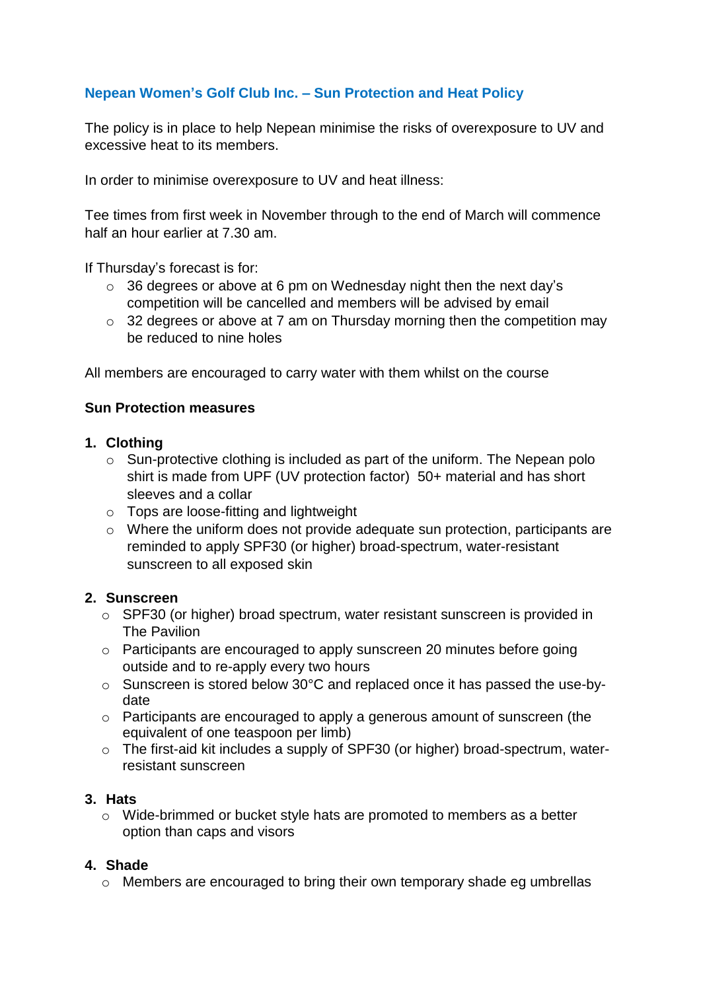# **Nepean Women's Golf Club Inc. – Sun Protection and Heat Policy**

The policy is in place to help Nepean minimise the risks of overexposure to UV and excessive heat to its members.

In order to minimise overexposure to UV and heat illness:

Tee times from first week in November through to the end of March will commence half an hour earlier at 7.30 am.

If Thursday's forecast is for:

- $\circ$  36 degrees or above at 6 pm on Wednesday night then the next day's competition will be cancelled and members will be advised by email
- $\circ$  32 degrees or above at 7 am on Thursday morning then the competition may be reduced to nine holes

All members are encouraged to carry water with them whilst on the course

## **Sun Protection measures**

## **1. Clothing**

- $\circ$  Sun-protective clothing is included as part of the uniform. The Nepean polo shirt is made from UPF (UV protection factor) 50+ material and has short sleeves and a collar
- o Tops are loose-fitting and lightweight
- o Where the uniform does not provide adequate sun protection, participants are reminded to apply SPF30 (or higher) broad-spectrum, water-resistant sunscreen to all exposed skin

#### **2. Sunscreen**

- o SPF30 (or higher) broad spectrum, water resistant sunscreen is provided in The Pavilion
- o Participants are encouraged to apply sunscreen 20 minutes before going outside and to re-apply every two hours
- o Sunscreen is stored below 30°C and replaced once it has passed the use-bydate
- o Participants are encouraged to apply a generous amount of sunscreen (the equivalent of one teaspoon per limb)
- o The first-aid kit includes a supply of SPF30 (or higher) broad-spectrum, waterresistant sunscreen

#### **3. Hats**

o Wide-brimmed or bucket style hats are promoted to members as a better option than caps and visors

## **4. Shade**

o Members are encouraged to bring their own temporary shade eg umbrellas